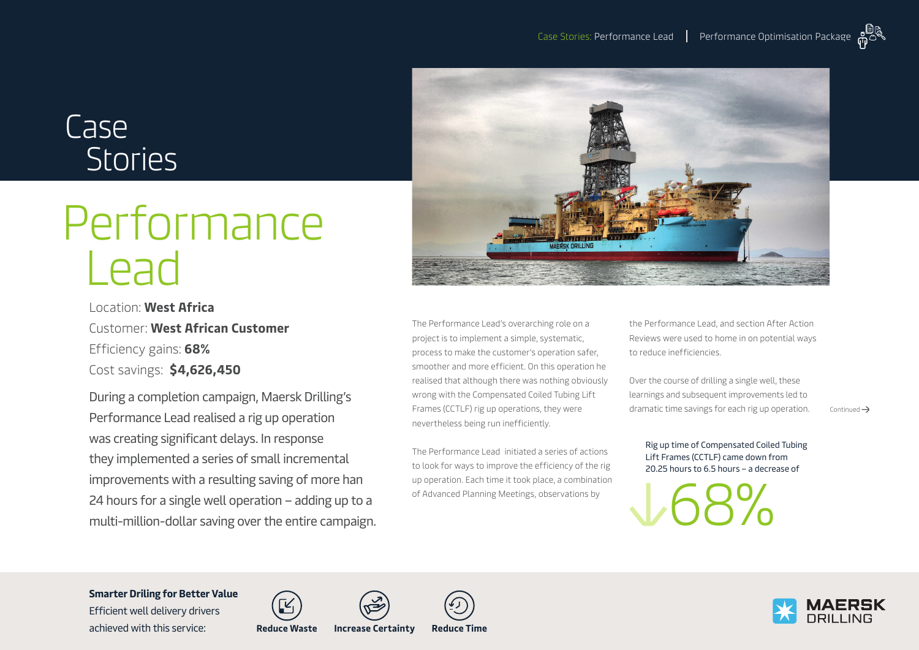# Case Stories

# Performance Lead

Location: **West Africa** Customer: **West African Customer**  Efficiency gains: **68%** Cost savings: **\$4,626,450**

During a completion campaign, Maersk Drilling's Performance Lead realised a rig up operation was creating significant delays. In response they implemented a series of small incremental improvements with a resulting saving of more han 24 hours for a single well operation – adding up to a multi-million-dollar saving over the entire campaign.



The Performance Lead's overarching role on a project is to implement a simple, systematic, process to make the customer's operation safer, smoother and more efficient. On this operation he realised that although there was nothing obviously wrong with the Compensated Coiled Tubing Lift Frames (CCTLF) rig up operations, they were nevertheless being run inefficiently.

The Performance Lead initiated a series of actions to look for ways to improve the efficiency of the rig up operation. Each time it took place, a combination of Advanced Planning Meetings, observations by

the Performance Lead, and section After Action Reviews were used to home in on potential ways to reduce inefficiencies.

Over the course of drilling a single well, these learnings and subsequent improvements led to dramatic time savings for each rig up operation.  $\overline{\phantom{a}}$  Continued  $\overline{\phantom{a}}$ 

Rig up time of Compensated Coiled Tubing Lift Frames (CCTLF) came down from 20.25 hours to 6.5 hours – a decrease of

68%



**Smarter Driling for Better Value**  Efficient well delivery drivers

achieved with this service: **Reduce Waste Increase Certainty Reduce Time**